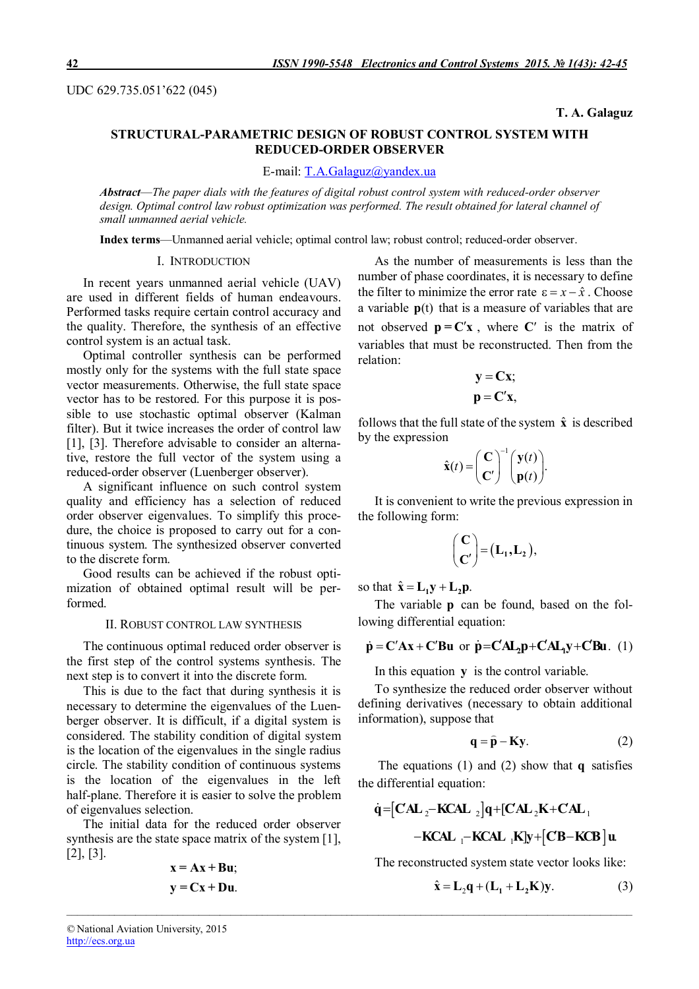UDC 629.735.051'622 (045)

#### **T. A. Galaguz**

# **STRUCTURAL-PARAMETRIC DESIGN OF ROBUST CONTROL SYSTEM WITH REDUCED-ORDER OBSERVER**

E-mail: T.A.Galaguz@yandex.ua

*Abstract*—*The paper dials with the features of digital robust control system with reduced-order observer design. Optimal control law robust optimization was performed. The result obtained for lateral channel of small unmanned aerial vehicle.*

**Index terms**—Unmanned aerial vehicle; optimal control law; robust control; reduced-order observer.

# I. INTRODUCTION

In recent years unmanned aerial vehicle (UAV) are used in different fields of human endeavours. Performed tasks require certain control accuracy and the quality. Therefore, the synthesis of an effective control system is an actual task.

Optimal controller synthesis can be performed mostly only for the systems with the full state space vector measurements. Otherwise, the full state space vector has to be restored. For this purpose it is possible to use stochastic optimal observer (Kalman filter). But it twice increases the order of control law [1], [3]. Therefore advisable to consider an alternative, restore the full vector of the system using a reduced-order observer (Luenberger observer).

A significant influence on such control system quality and efficiency has a selection of reduced order observer eigenvalues. To simplify this procedure, the choice is proposed to carry out for a continuous system. The synthesized observer converted to the discrete form.

Good results can be achieved if the robust optimization of obtained optimal result will be performed.

#### II. ROBUST CONTROL LAW SYNTHESIS

The continuous optimal reduced order observer is the first step of the control systems synthesis. The next step is to convert it into the discrete form.

This is due to the fact that during synthesis it is necessary to determine the eigenvalues of the Luenberger observer. It is difficult, if a digital system is considered. The stability condition of digital system is the location of the eigenvalues in the single radius circle. The stability condition of continuous systems is the location of the eigenvalues in the left half-plane. Therefore it is easier to solve the problem of eigenvalues selection.

The initial data for the reduced order observer synthesis are the state space matrix of the system [1], [2], [3].

$$
x = Ax + Bu;
$$
  

$$
y = Cx + Du.
$$

As the number of measurements is less than the number of phase coordinates, it is necessary to define the filter to minimize the error rate  $\varepsilon = x - \hat{x}$ . Choose a variable **p**(t) that is a measure of variables that are not observed  $\mathbf{p} = \mathbf{C}'\mathbf{x}$ , where  $\mathbf{C}'$  is the matrix of variables that must be reconstructed. Then from the relation:

$$
y = Cx;
$$
  

$$
p = C'x,
$$

follows that the full state of the system  $\hat{x}$  is described by the expression

$$
\hat{\mathbf{x}}(t) = \begin{pmatrix} \mathbf{C} \\ \mathbf{C}' \end{pmatrix}^{-1} \begin{pmatrix} \mathbf{y}(t) \\ \mathbf{p}(t) \end{pmatrix}.
$$

It is convenient to write the previous expression in the following form:

$$
\begin{pmatrix} \mathbf{C} \\ \mathbf{C}' \end{pmatrix} = (\mathbf{L}_1, \mathbf{L}_2),
$$

so that  $\hat{\mathbf{x}} = \mathbf{L}_1 \mathbf{y} + \mathbf{L}_2 \mathbf{p}$ .

*\_\_\_\_\_\_\_\_\_\_\_\_\_\_\_\_\_\_\_\_\_\_\_\_\_\_\_\_\_\_\_\_\_\_\_\_\_\_\_\_\_\_\_\_\_\_\_\_\_\_\_\_\_\_\_\_\_\_\_\_\_\_\_\_\_\_\_\_\_\_\_\_\_\_\_\_\_\_\_\_\_\_\_\_\_\_\_\_\_\_\_\_\_\_\_\_\_\_\_\_\_\_\_\_\_\_\_*

The variable **p** can be found, based on the following differential equation:

$$
\dot{p} = C'Ax + C'Bu \text{ or } \dot{p} = CAL_2p + CAL_1y + CBu. (1)
$$

In this equation **y** is the control variable.

To synthesize the reduced order observer without defining derivatives (necessary to obtain additional information), suppose that

$$
\mathbf{q} = \hat{\mathbf{p}} - \mathbf{K}\mathbf{y}.\tag{2}
$$

The equations (1) and (2) show that **q** satisfies the differential equation:

$$
\dot{q} = [CAL_{2} - KCAL_{2}]q + [CAL_{2}K + CAL_{1} - KCAL_{1} - KCAL_{1}K]y + [CB - KCB]u
$$

The reconstructed system state vector looks like:

$$
\hat{\mathbf{x}} = \mathbf{L}_2 \mathbf{q} + (\mathbf{L}_1 + \mathbf{L}_2 \mathbf{K}) \mathbf{y}.
$$
 (3)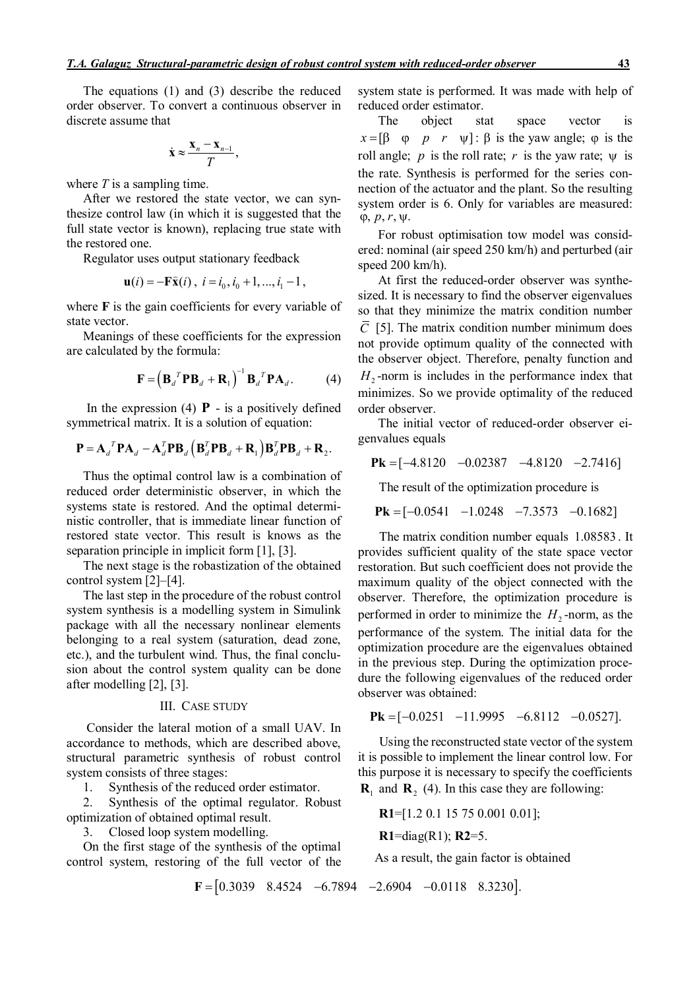The equations (1) and (3) describe the reduced order observer. To convert a continuous observer in discrete assume that

$$
\dot{\mathbf{x}} \approx \frac{\mathbf{x}_n - \mathbf{x}_{n-1}}{T},
$$

where *T* is a sampling time.

After we restored the state vector, we can synthesize control law (in which it is suggested that the full state vector is known), replacing true state with the restored one.

Regulator uses output stationary feedback

$$
\mathbf{u}(i) = -\mathbf{F}\hat{\mathbf{x}}(i), i = i_0, i_0 + 1, ..., i_1 - 1,
$$

where **F** is the gain coefficients for every variable of state vector.

Meanings of these coefficients for the expression are calculated by the formula:

$$
\mathbf{F} = \left(\mathbf{B}_d^T \mathbf{P} \mathbf{B}_d + \mathbf{R}_1\right)^{-1} \mathbf{B}_d^T \mathbf{P} \mathbf{A}_d. \tag{4}
$$

In the expression (4)  $\bf{P}$  - is a positively defined symmetrical matrix. It is a solution of equation:

$$
\mathbf{P} = \mathbf{A}_d^T \mathbf{P} \mathbf{A}_d - \mathbf{A}_d^T \mathbf{P} \mathbf{B}_d \left( \mathbf{B}_d^T \mathbf{P} \mathbf{B}_d + \mathbf{R}_1 \right) \mathbf{B}_d^T \mathbf{P} \mathbf{B}_d + \mathbf{R}_2.
$$

Thus the optimal control law is a combination of reduced order deterministic observer, in which the systems state is restored. And the optimal deterministic controller, that is immediate linear function of restored state vector. This result is knows as the separation principle in implicit form [1], [3].

The next stage is the robastization of the obtained control system [2]–[4].

The last step in the procedure of the robust control system synthesis is a modelling system in Simulink package with all the necessary nonlinear elements belonging to a real system (saturation, dead zone, etc.), and the turbulent wind. Thus, the final conclusion about the control system quality can be done after modelling [2], [3].

### ІІІ. CASE STUDY

Consider the lateral motion of a small UAV. In accordance to methods, which are described above, structural parametric synthesis of robust control system consists of three stages:

1. Synthesis of the reduced order estimator.

2. Synthesis of the optimal regulator. Robust optimization of obtained optimal result.

3. Closed loop system modelling.

On the first stage of the synthesis of the optimal control system, restoring of the full vector of the

 $\mathbf{F} = [0.3039 \quad 8.4524 \quad -6.7894 \quad -2.6904 \quad -0.0118 \quad 8.3230].$ 

system state is performed. It was made with help of reduced order estimator.

The object stat space vector is  $x = \begin{bmatrix} \beta & \varphi & p & r & \psi \end{bmatrix}$ :  $\beta$  is the yaw angle;  $\varphi$  is the roll angle; *p* is the roll rate; *r* is the yaw rate;  $\psi$  is the rate. Synthesis is performed for the series connection of the actuator and the plant. So the resulting system order is 6. Only for variables are measured:  $\varphi$ ,  $p, r, \psi$ .

For robust optimisation tow model was considered: nominal (air speed 250 km/h) and perturbed (air speed 200 km/h).

At first the reduced-order observer was synthesized. It is necessary to find the observer eigenvalues so that they minimize the matrix condition number  $\overline{C}$  [5]. The matrix condition number minimum does not provide optimum quality of the connected with the observer object. Therefore, penalty function and  $H_2$ -norm is includes in the performance index that minimizes. So we provide optimality of the reduced order observer.

The initial vector of reduced-order observer eigenvalues equals

$$
Pk = [-4.8120 -0.02387 -4.8120 -2.7416]
$$

The result of the optimization procedure is

$$
Pk = [-0.0541 -1.0248 -7.3573 -0.1682]
$$

The matrix condition number equals 1.08583 . It provides sufficient quality of the state space vector restoration. But such coefficient does not provide the maximum quality of the object connected with the observer. Therefore, the optimization procedure is performed in order to minimize the  $H_2$ -norm, as the performance of the system. The initial data for the optimization procedure are the eigenvalues obtained in the previous step. During the optimization procedure the following eigenvalues of the reduced order observer was obtained:

$$
Pk = [-0.0251 -11.9995 -6.8112 -0.0527].
$$

Using the reconstructed state vector of the system it is possible to implement the linear control low. For this purpose it is necessary to specify the coefficients

 $\mathbf{R}_1$  and  $\mathbf{R}_2$  (4). In this case they are following:

**R1**=[1.2 0.1 15 75 0.001 0.01];

$$
R1 = diag(R1); R2 = 5.
$$

As a result, the gain factor is obtained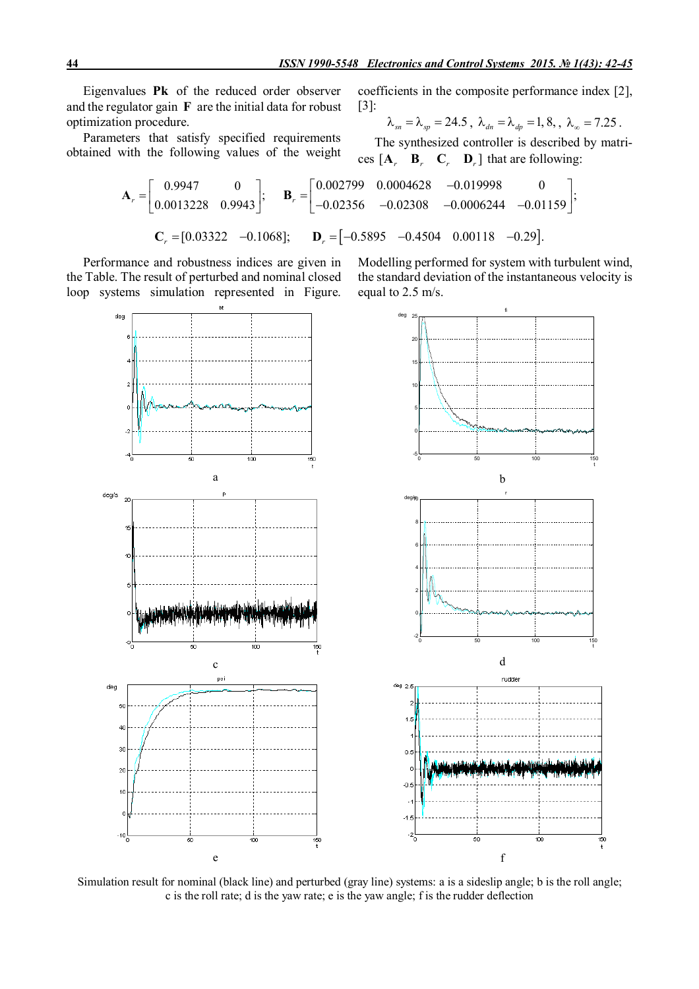Eigenvalues **Pk** of the reduced order observer and the regulator gain **F** are the initial data for robust optimization procedure.

Parameters that satisfy specified requirements obtained with the following values of the weight

coefficients in the composite performance index [2], [3]:

$$
\lambda_{sn} = \lambda_{sp} = 24.5
$$
,  $\lambda_{dn} = \lambda_{dp} = 1, 8$ ,  $\lambda_{\infty} = 7.25$ .

;

The synthesized controller is described by matrices  $\begin{bmatrix} \mathbf{A}_r & \mathbf{B}_r & \mathbf{C}_r & \mathbf{D}_r \end{bmatrix}$  that are following:

$$
\mathbf{A}_{r} = \begin{bmatrix} 0.9947 & 0 \\ 0.0013228 & 0.9943 \end{bmatrix}; \quad \mathbf{B}_{r} = \begin{bmatrix} 0.002799 & 0.0004628 & -0.019998 & 0 \\ -0.02356 & -0.02308 & -0.0006244 & -0.01159 \end{bmatrix};
$$

$$
\mathbf{C}_{r} = [0.03322 \quad -0.1068]; \quad \mathbf{D}_{r} = [-0.5895 \quad -0.4504 \quad 0.00118 \quad -0.29].
$$

Performance and robustness indices are given in the Table. The result of perturbed and nominal closed loop systems simulation represented in Figure. Modelling performed for system with turbulent wind, the standard deviation of the instantaneous velocity is equal to 2.5 m/s.



Simulation result for nominal (black line) and perturbed (gray line) systems: a is a sideslip angle; b is the roll angle; c is the roll rate; d is the yaw rate; e is the yaw angle; f is the rudder deflection